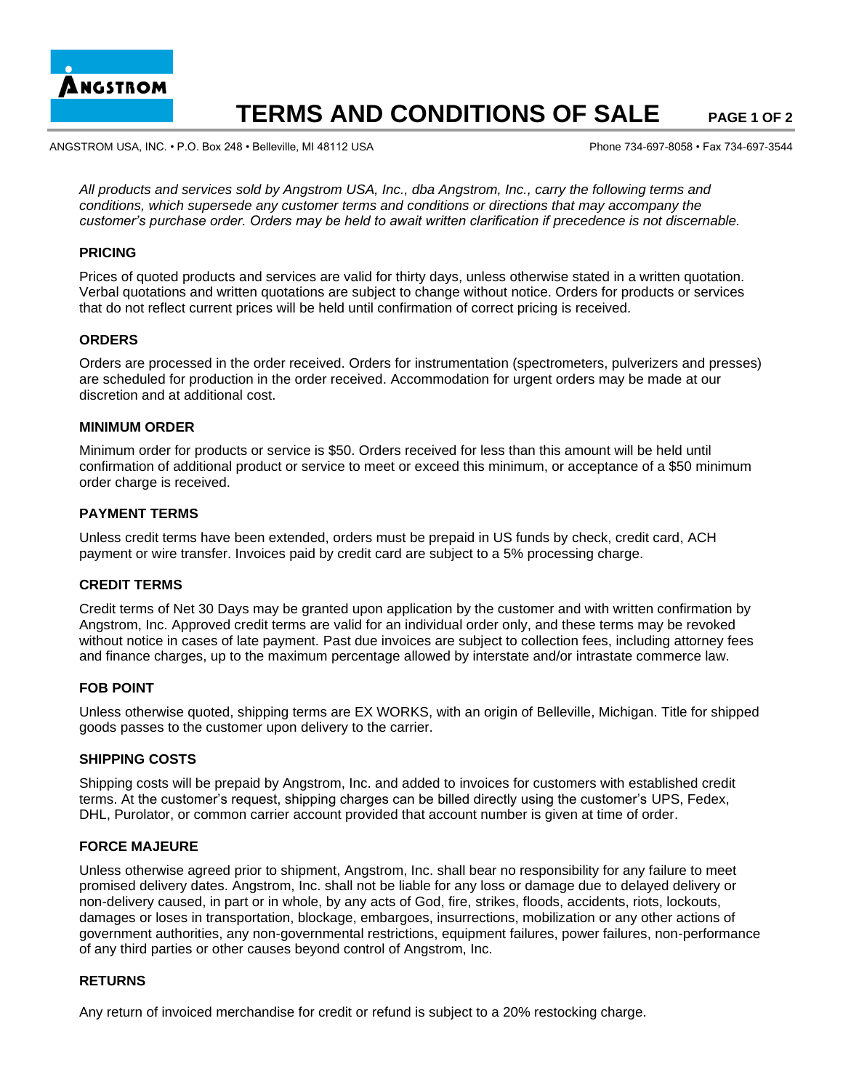

# **TERMS AND CONDITIONS OF SALE PAGE 1 OF 2**

ANGSTROM USA, INC. • P.O. Box 248 • Belleville, MI 48112 USA Phone 734-697-8058 • Fax 734-697-3544

*All products and services sold by Angstrom USA, Inc., dba Angstrom, Inc., carry the following terms and conditions, which supersede any customer terms and conditions or directions that may accompany the customer's purchase order. Orders may be held to await written clarification if precedence is not discernable.* 

#### **PRICING**

Prices of quoted products and services are valid for thirty days, unless otherwise stated in a written quotation. Verbal quotations and written quotations are subject to change without notice. Orders for products or services that do not reflect current prices will be held until confirmation of correct pricing is received.

#### **ORDERS**

Orders are processed in the order received. Orders for instrumentation (spectrometers, pulverizers and presses) are scheduled for production in the order received. Accommodation for urgent orders may be made at our discretion and at additional cost.

#### **MINIMUM ORDER**

Minimum order for products or service is \$50. Orders received for less than this amount will be held until confirmation of additional product or service to meet or exceed this minimum, or acceptance of a \$50 minimum order charge is received.

## **PAYMENT TERMS**

Unless credit terms have been extended, orders must be prepaid in US funds by check, credit card, ACH payment or wire transfer. Invoices paid by credit card are subject to a 5% processing charge.

#### **CREDIT TERMS**

Credit terms of Net 30 Days may be granted upon application by the customer and with written confirmation by Angstrom, Inc. Approved credit terms are valid for an individual order only, and these terms may be revoked without notice in cases of late payment. Past due invoices are subject to collection fees, including attorney fees and finance charges, up to the maximum percentage allowed by interstate and/or intrastate commerce law.

#### **FOB POINT**

Unless otherwise quoted, shipping terms are EX WORKS, with an origin of Belleville, Michigan. Title for shipped goods passes to the customer upon delivery to the carrier.

#### **SHIPPING COSTS**

Shipping costs will be prepaid by Angstrom, Inc. and added to invoices for customers with established credit terms. At the customer's request, shipping charges can be billed directly using the customer's UPS, Fedex, DHL, Purolator, or common carrier account provided that account number is given at time of order.

#### **FORCE MAJEURE**

Unless otherwise agreed prior to shipment, Angstrom, Inc. shall bear no responsibility for any failure to meet promised delivery dates. Angstrom, Inc. shall not be liable for any loss or damage due to delayed delivery or non-delivery caused, in part or in whole, by any acts of God, fire, strikes, floods, accidents, riots, lockouts, damages or loses in transportation, blockage, embargoes, insurrections, mobilization or any other actions of government authorities, any non-governmental restrictions, equipment failures, power failures, non-performance of any third parties or other causes beyond control of Angstrom, Inc.

#### **RETURNS**

Any return of invoiced merchandise for credit or refund is subject to a 20% restocking charge.